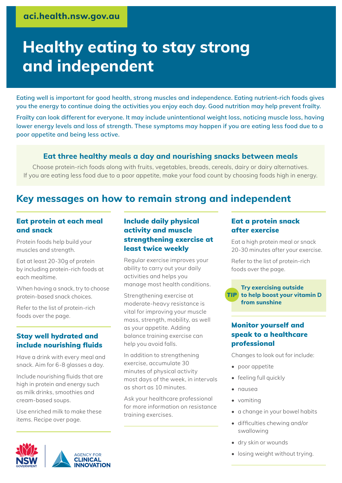# **Healthy eating to stay strong and independent**

**Eating well is important for good health, strong muscles and independence. Eating nutrient-rich foods gives you the energy to continue doing the activities you enjoy each day. Good nutrition may help prevent frailty.** 

**Frailty can look different for everyone. It may include unintentional weight loss, noticing muscle loss, having lower energy levels and loss of strength. These symptoms may happen if you are eating less food due to a poor appetite and being less active.**

# **Eat three healthy meals a day and nourishing snacks between meals**

Choose protein-rich foods along with fruits, vegetables, breads, cereals, dairy or dairy alternatives. If you are eating less food due to a poor appetite, make your food count by choosing foods high in energy.

# **Key messages on how to remain strong and independent**

#### Eat protein at each meal and snack

Protein foods help build your muscles and strength.

Eat at least 20-30g of protein by including protein-rich foods at each mealtime.

When having a snack, try to choose protein-based snack choices.

Refer to the list of protein-rich foods over the page.

## Stay well hydrated and include nourishing fluids

Have a drink with every meal and snack. Aim for 6-8 glasses a day.

Include nourishing fluids that are high in protein and energy such as milk drinks, smoothies and cream-based soups.

Use enriched milk to make these items. Recipe over page.



## Include daily physical activity and muscle strengthening exercise at least twice weekly

Regular exercise improves your ability to carry out your daily activities and helps you manage most health conditions.

Strengthening exercise at moderate-heavy resistance is vital for improving your muscle mass, strength, mobility, as well as your appetite. Adding balance training exercise can help you avoid falls.

In addition to strengthening exercise, accumulate 30 minutes of physical activity most days of the week, in intervals as short as 10 minutes.

Ask your healthcare professional for more information on resistance training exercises.

### Eat a protein snack after exercise

Eat a high protein meal or snack 20-30 minutes after your exercise.

Refer to the list of protein-rich foods over the page.

#### **Try exercising outside to help boost your vitamin D**  TIP**from sunshine**

# Monitor yourself and speak to a healthcare professional

Changes to look out for include:

- poor appetite
- feeling full quickly
- nausea
- vomiting
- a change in your bowel habits
- difficulties chewing and/or swallowing
- dry skin or wounds
- losing weight without trying.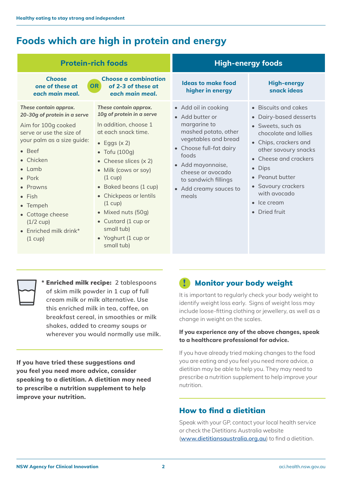# **Foods which are high in protein and energy**

| <b>Protein-rich foods</b>                                                                                                                                                                                                                                                                                                                     |                                                                                                                                                                                                                                                                                                                                                                                     | <b>High-energy foods</b>                                                                                                                                                                                                                         |                                                                                                                                                                                                                                                                                   |
|-----------------------------------------------------------------------------------------------------------------------------------------------------------------------------------------------------------------------------------------------------------------------------------------------------------------------------------------------|-------------------------------------------------------------------------------------------------------------------------------------------------------------------------------------------------------------------------------------------------------------------------------------------------------------------------------------------------------------------------------------|--------------------------------------------------------------------------------------------------------------------------------------------------------------------------------------------------------------------------------------------------|-----------------------------------------------------------------------------------------------------------------------------------------------------------------------------------------------------------------------------------------------------------------------------------|
| <b>Choose</b><br>one of these at<br>each main meal.                                                                                                                                                                                                                                                                                           | <b>Choose a combination</b><br>OR<br>of 2-3 of these at<br>each main meal.                                                                                                                                                                                                                                                                                                          | <b>Ideas to make food</b><br>higher in energy                                                                                                                                                                                                    | <b>High-energy</b><br>snack ideas                                                                                                                                                                                                                                                 |
| These contain approx.<br>20-30g of protein in a serve<br>Aim for 100g cooked<br>serve or use the size of<br>your palm as a size guide:<br>$\bullet$ Beef<br>• Chicken<br>$\bullet$ Lamb<br>$\bullet$ Pork<br>• Prawns<br>$\bullet$ Fish<br>• Tempeh<br>• Cottage cheese<br>$(1/2$ cup)<br>$\bullet$ Enriched milk drink*<br>$(1 \text{ cup})$ | These contain approx.<br>10g of protein in a serve<br>In addition, choose 1<br>at each snack time.<br>• Eggs $(x 2)$<br>$\bullet$ Tofu (100g)<br>• Cheese slices $(x 2)$<br>• Milk (cows or soy)<br>(1 cup)<br>• Baked beans (1 cup)<br>• Chickpeas or lentils<br>$(1 \text{ cup})$<br>• Mixed nuts (50g)<br>• Custard (1 cup or<br>small tub)<br>• Yoghurt (1 cup or<br>small tub) | • Add oil in cooking<br>• Add butter or<br>margarine to<br>mashed potato, other<br>vegetables and bread<br>• Choose full-fat dairy<br>foods<br>• Add mayonnaise,<br>cheese or avocado<br>to sandwich fillings<br>• Add creamy sauces to<br>meals | • Biscuits and cakes<br>• Dairy-based desserts<br>• Sweets, such as<br>chocolate and lollies<br>• Chips, crackers and<br>other savoury snacks<br>• Cheese and crackers<br>• Dips<br>• Peanut butter<br>• Savoury crackers<br>with avocado<br>$\bullet$ Ice cream<br>• Dried fruit |



**\*** Enriched milk recipe: **2 tablespoons of skim milk powder in 1 cup of full cream milk or milk alternative. Use this enriched milk in tea, coffee, on breakfast cereal, in smoothies or milk shakes, added to creamy soups or wherever you would normally use milk.** 

**If you have tried these suggestions and you feel you need more advice, consider speaking to a dietitian. A dietitian may need to prescribe a nutrition supplement to help improve your nutrition.**

# **Monitor your body weight**

It is important to regularly check your body weight to identify weight loss early. Signs of weight loss may include loose-fitting clothing or jewellery, as well as a change in weight on the scales.

#### **If you experience any of the above changes, speak to a healthcare professional for advice.**

If you have already tried making changes to the food you are eating and you feel you need more advice, a dietitian may be able to help you. They may need to prescribe a nutrition supplement to help improve your nutrition.

# How to find a dietitian

Speak with your GP, contact your local health service or check the Dietitians Australia website (**[www.dietitiansaustralia.org.au](http://www.dietitiansaustralia.org.au)**) to find a dietitian.